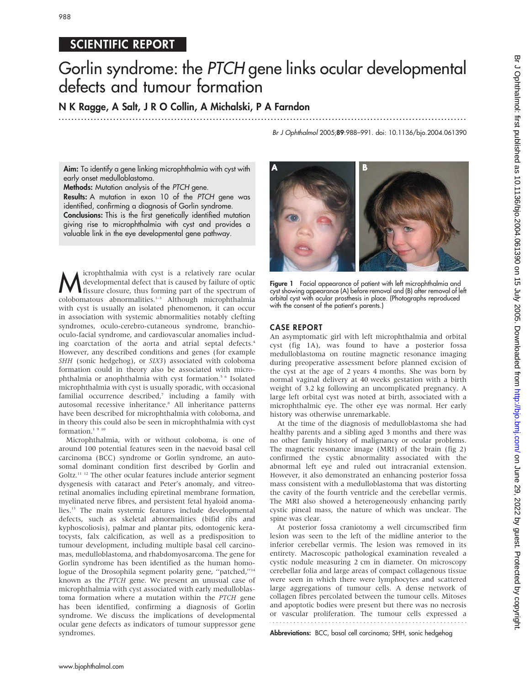988

# SCIENTIFIC REPORT Gorlin syndrome: the PTCH gene links ocular developmental defects and tumour formation

N K Ragge, A Salt, J R O Collin, A Michalski, P A Farndon

...............................................................................................................................

Br J Ophthalmol 2005;89:988–991. doi: 10.1136/bjo.2004.061390

Aim: To identify a gene linking microphthalmia with cyst with early onset medulloblastoma.

Methods: Mutation analysis of the PTCH gene. Results: A mutation in exon 10 of the PTCH gene was identified, confirming a diagnosis of Gorlin syndrome. Conclusions: This is the first genetically identified mutation giving rise to microphthalmia with cyst and provides a valuable link in the eye developmental gene pathway.

**M** icrophthalmia with cyst is a relatively rare ocular<br>fissure closure, thus forming part of the spectrum of<br>selection of the spectrum of developmental defect that is caused by failure of optic colobomatous abnormalities.1–3 Although microphthalmia with cyst is usually an isolated phenomenon, it can occur in association with systemic abnormalities notably clefting syndromes, oculo-cerebro-cutaneous syndrome, branchiooculo-facial syndrome, and cardiovascular anomalies including coarctation of the aorta and atrial septal defects.<sup>4</sup> However, any described conditions and genes (for example SHH (sonic hedgehog), or SIX3) associated with coloboma formation could in theory also be associated with microphthalmia or anophthalmia with cyst formation.5 6 Isolated microphthalmia with cyst is usually sporadic, with occasional familial occurrence described,7 including a family with autosomal recessive inheritance.<sup>8</sup> All inheritance patterns have been described for microphthalmia with coloboma, and in theory this could also be seen in microphthalmia with cyst formation.<sup>1</sup>  $^{\rm 9}$   $^{\rm 10}$ 

Microphthalmia, with or without coloboma, is one of around 100 potential features seen in the naevoid basal cell carcinoma (BCC) syndrome or Gorlin syndrome, an autosomal dominant condition first described by Gorlin and Goltz.11 12 The other ocular features include anterior segment dysgenesis with cataract and Peter's anomaly, and vitreoretinal anomalies including epiretinal membrane formation, myelinated nerve fibres, and persistent fetal hyaloid anomalies.13 The main systemic features include developmental defects, such as skeletal abnormalities (bifid ribs and kyphoscoliosis), palmar and plantar pits, odontogenic keratocysts, falx calcification, as well as a predisposition to tumour development, including multiple basal cell carcinomas, medulloblastoma, and rhabdomyosarcoma. The gene for Gorlin syndrome has been identified as the human homologue of the Drosophila segment polarity gene, "patched,"<sup>14</sup> known as the PTCH gene. We present an unusual case of microphthalmia with cyst associated with early medulloblastoma formation where a mutation within the PTCH gene has been identified, confirming a diagnosis of Gorlin syndrome. We discuss the implications of developmental ocular gene defects as indicators of tumour suppressor gene syndromes.



Figure 1 Facial appearance of patient with left microphthalmia and cyst showing appearance (A) before removal and (B) after removal of left orbital cyst with ocular prosthesis in place. (Photographs reproduced with the consent of the patient's parents.)

### CASE REPORT

An asymptomatic girl with left microphthalmia and orbital cyst (fig 1A), was found to have a posterior fossa medulloblastoma on routine magnetic resonance imaging during preoperative assessment before planned excision of the cyst at the age of 2 years 4 months. She was born by normal vaginal delivery at 40 weeks gestation with a birth weight of 3.2 kg following an uncomplicated pregnancy. A large left orbital cyst was noted at birth, associated with a microphthalmic eye. The other eye was normal. Her early history was otherwise unremarkable.

At the time of the diagnosis of medulloblastoma she had healthy parents and a sibling aged 3 months and there was no other family history of malignancy or ocular problems. The magnetic resonance image (MRI) of the brain (fig 2) confirmed the cystic abnormality associated with the abnormal left eye and ruled out intracranial extension. However, it also demonstrated an enhancing posterior fossa mass consistent with a medulloblastoma that was distorting the cavity of the fourth ventricle and the cerebellar vermis. The MRI also showed a heterogeneously enhancing partly cystic pineal mass, the nature of which was unclear. The spine was clear.

At posterior fossa craniotomy a well circumscribed firm lesion was seen to the left of the midline anterior to the inferior cerebellar vermis. The lesion was removed in its entirety. Macroscopic pathological examination revealed a cystic nodule measuring 2 cm in diameter. On microscopy cerebellar folia and large areas of compact collagenous tissue were seen in which there were lymphocytes and scattered large aggregations of tumour cells. A dense network of collagen fibres percolated between the tumour cells. Mitoses and apoptotic bodies were present but there was no necrosis or vascular proliferation. The tumour cells expressed a

Abbreviations: BCC, basal cell carcinoma; SHH, sonic hedgehog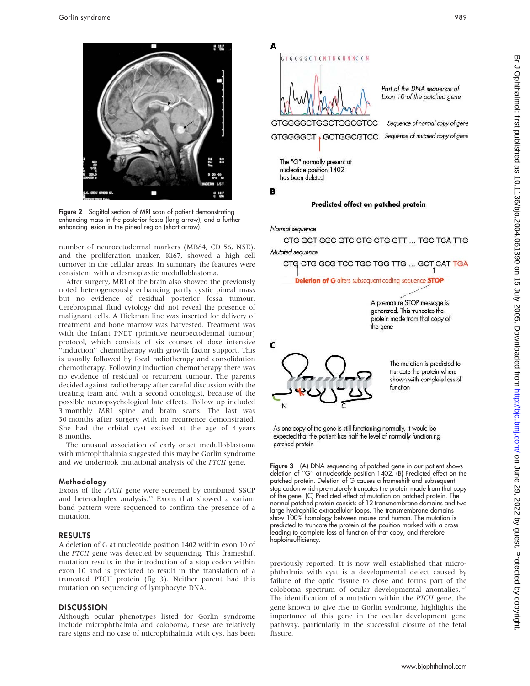

Figure 2 Sagittal section of MRI scan of patient demonstrating enhancing mass in the posterior fossa (long arrow), and a further enhancing lesion in the pineal region (short arrow).

number of neuroectodermal markers (MB84, CD 56, NSE), and the proliferation marker, Ki67, showed a high cell turnover in the cellular areas. In summary the features were consistent with a desmoplastic medulloblastoma.

After surgery, MRI of the brain also showed the previously noted heterogeneously enhancing partly cystic pineal mass but no evidence of residual posterior fossa tumour. Cerebrospinal fluid cytology did not reveal the presence of malignant cells. A Hickman line was inserted for delivery of treatment and bone marrow was harvested. Treatment was with the Infant PNET (primitive neuroectodermal tumour) protocol, which consists of six courses of dose intensive "induction" chemotherapy with growth factor support. This is usually followed by focal radiotherapy and consolidation chemotherapy. Following induction chemotherapy there was no evidence of residual or recurrent tumour. The parents decided against radiotherapy after careful discussion with the treating team and with a second oncologist, because of the possible neuropsychological late effects. Follow up included 3 monthly MRI spine and brain scans. The last was 30 months after surgery with no recurrence demonstrated. She had the orbital cyst excised at the age of 4 years 8 months.

The unusual association of early onset medulloblastoma with microphthalmia suggested this may be Gorlin syndrome and we undertook mutational analysis of the PTCH gene.

#### Methodology

Exons of the PTCH gene were screened by combined SSCP and heteroduplex analysis.<sup>15</sup> Exons that showed a variant band pattern were sequenced to confirm the presence of a mutation.

#### RESULTS

A deletion of G at nucleotide position 1402 within exon 10 of the PTCH gene was detected by sequencing. This frameshift mutation results in the introduction of a stop codon within exon 10 and is predicted to result in the translation of a truncated PTCH protein (fig 3). Neither parent had this mutation on sequencing of lymphocyte DNA.

#### **DISCUSSION**

Although ocular phenotypes listed for Gorlin syndrome include microphthalmia and coloboma, these are relatively rare signs and no case of microphthalmia with cyst has been





The mutation is predicted to truncate the protein where shown with complete loss of function

As one copy of the gene is still functioning normally, it would be expected that the patient has half the level of normally functioning patched protein

Figure 3 (A) DNA sequencing of patched gene in our patient shows deletion of ''G'' at nucleotide position 1402. (B) Predicted effect on the patched protein. Deletion of G causes a frameshift and subsequent stop codon which prematurely truncates the protein made from that copy of the gene. (C) Predicted effect of mutation on patched protein. The normal patched protein consists of 12 transmembrane domains and two large hydrophilic extracellular loops. The transmembrane domains show 100% homology between mouse and human. The mutation is predicted to truncate the protein at the position marked with a cross leading to complete loss of function of that copy, and therefore haploinsufficiency.

previously reported. It is now well established that microphthalmia with cyst is a developmental defect caused by failure of the optic fissure to close and forms part of the coloboma spectrum of ocular developmental anomalies.<sup>1-3</sup> The identification of a mutation within the PTCH gene, the gene known to give rise to Gorlin syndrome, highlights the importance of this gene in the ocular development gene pathway, particularly in the successful closure of the fetal fissure.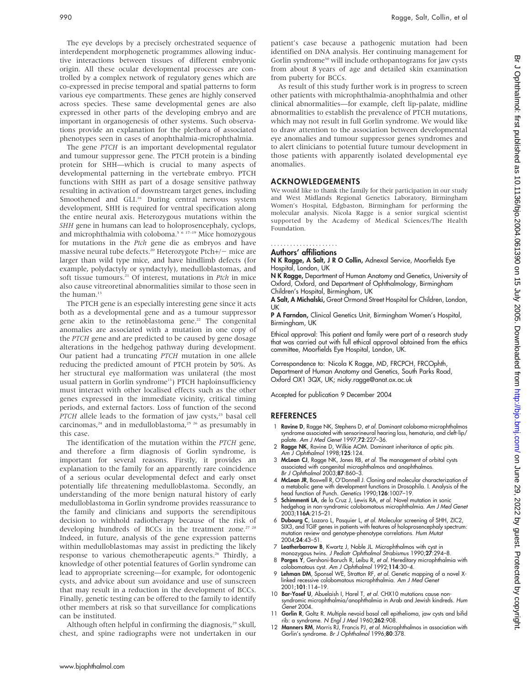The eye develops by a precisely orchestrated sequence of interdependent morphogenetic programmes allowing inductive interactions between tissues of different embryonic origin. All these ocular developmental processes are controlled by a complex network of regulatory genes which are

co-expressed in precise temporal and spatial patterns to form various eye compartments. These genes are highly conserved across species. These same developmental genes are also expressed in other parts of the developing embryo and are important in organogenesis of other systems. Such observations provide an explanation for the plethora of associated phenotypes seen in cases of anophthalmia-microphthalmia.

The gene PTCH is an important developmental regulator and tumour suppressor gene. The PTCH protein is a binding protein for SHH—which is crucial to many aspects of developmental patterning in the vertebrate embryo. PTCH functions with SHH as part of a dosage sensitive pathway resulting in activation of downstream target genes, including Smoothened and GLI.<sup>16</sup> During central nervous system development, SHH is required for ventral specification along the entire neural axis. Heterozygous mutations within the SHH gene in humans can lead to holoprosencephaly, cyclops, and microphthalmia with coloboma.<sup>5 6</sup> 17-19 Mice homozygous for mutations in the Ptch gene die as embryos and have massive neural tube defects.<sup>20</sup> Heterozygote Ptch+/- mice are larger than wild type mice, and have hindlimb defects (for example, polydactyly or syndactyly), medulloblastomas, and soft tissue tumours.<sup>21</sup> Of interest, mutations in Ptch in mice also cause vitreoretinal abnormalities similar to those seen in the human.<sup>13</sup>

The PTCH gene is an especially interesting gene since it acts both as a developmental gene and as a tumour suppressor gene akin to the retinoblastoma gene.<sup>22</sup> The congenital anomalies are associated with a mutation in one copy of the PTCH gene and are predicted to be caused by gene dosage alterations in the hedgehog pathway during development. Our patient had a truncating PTCH mutation in one allele reducing the predicted amount of PTCH protein by 50%. As her structural eye malformation was unilateral (the most usual pattern in Gorlin syndrome<sup>13</sup>) PTCH haploinsufficiency must interact with other localised effects such as the other genes expressed in the immediate vicinity, critical timing periods, and external factors. Loss of function of the second  $PTCH$  allele leads to the formation of jaw cysts, $23$  basal cell carcinomas, $24$  and in medulloblastoma, $25$  26 as presumably in this case.

The identification of the mutation within the PTCH gene, and therefore a firm diagnosis of Gorlin syndrome, is important for several reasons. Firstly, it provides an explanation to the family for an apparently rare coincidence of a serious ocular developmental defect and early onset potentially life threatening medulloblastoma. Secondly, an understanding of the more benign natural history of early medulloblastoma in Gorlin syndrome provides reassurance to the family and clinicians and supports the serendipitous decision to withhold radiotherapy because of the risk of developing hundreds of BCCs in the treatment zone.<sup>27 28</sup> Indeed, in future, analysis of the gene expression patterns within medulloblastomas may assist in predicting the likely response to various chemotherapeutic agents.<sup>26</sup> Thirdly, a knowledge of other potential features of Gorlin syndrome can lead to appropriate screening—for example, for odontogenic cysts, and advice about sun avoidance and use of sunscreen that may result in a reduction in the development of BCCs. Finally, genetic testing can be offered to the family to identify other members at risk so that surveillance for complications can be instituted.

Although often helpful in confirming the diagnosis,<sup>29</sup> skull, chest, and spine radiographs were not undertaken in our patient's case because a pathogenic mutation had been identified on DNA analysis. Her continuing management for Gorlin syndrome<sup>30</sup> will include orthopantograms for jaw cysts from about 8 years of age and detailed skin examination from puberty for BCCs.

As result of this study further work is in progress to screen other patients with microphthalmia-anophthalmia and other clinical abnormalities—for example, cleft lip-palate, midline abnormalities to establish the prevalence of PTCH mutations, which may not result in full Gorlin syndrome. We would like to draw attention to the association between developmental eye anomalies and tumour suppressor genes syndromes and to alert clinicians to potential future tumour development in those patients with apparently isolated developmental eye anomalies.

#### ACKNOWLEDGEMENTS

We would like to thank the family for their participation in our study and West Midlands Regional Genetics Laboratory, Birmingham Women's Hospital, Edgbaston, Birmingham for performing the molecular analysis. Nicola Ragge is a senior surgical scientist supported by the Academy of Medical Sciences/The Health Foundation.

## .....................

Authors' affiliations

N K Ragge, A Salt, J R O Collin, Adnexal Service, Moorfields Eye Hospital, London, UK

N K Ragge, Department of Human Anatomy and Genetics, University of Oxford, Oxford, and Department of Ophthalmology, Birmingham Children's Hospital, Birmingham, UK

A Salt, A Michalski, Great Ormond Street Hospital for Children, London, UK

P A Farndon, Clinical Genetics Unit, Birmingham Women's Hospital, Birmingham, UK

Ethical approval: This patient and family were part of a research study that was carried out with full ethical approval obtained from the ethics committee, Moorfields Eye Hospital, London, UK.

Correspondence to: Nicola K Ragge, MD, FRCPCH, FRCOphth, Department of Human Anatomy and Genetics, South Parks Road, Oxford OX1 3QX, UK; nicky.ragge@anat.ox.ac.uk

Accepted for publication 9 December 2004

#### **REFERENCES**

- 1 Ravine D, Ragge NK, Stephens D, et al. Dominant coloboma-microphthalmos syndrome associated with sensorineural hearing loss, hematuria, and cleft-lip/ palate. Am J Med Genet 1997;**72**:227–36.
- 2 Ragge NK, Ravine D, Wilkie AOM. Dominant inheritance of optic pits. Am J Ophthalmol 1998;125:124.
- 3 McLean CJ, Ragge NK, Jones RB, et al. The management of orbital cysts associated with congenital microphthalmos and anophthalmos.<br>*Br J Ophthalmol* 2003;**87**:860–3.
- 4 McLean JR, Boswell R, O'Donnell J. Cloning and molecular characterization of a metabolic gene with development functions in Drosophila. I. Analysis of the ead function of Punch. Genetics 1990;126:1007–19
- 5 Schimmenti LA, de la Cruz J, Lewis RA, et al. Novel mutation in sonic hedgehog in non-syndromic colobomatous microphthalmia. Am J Med Genet 2003;116A:215–21.
- 6 Dubourg C, Lazaro L, Pasquier L, et al. Molecular screening of SHH, ZIC2, SIX3, and TGIF genes in patients with features of holoprosencephaly spectrum:<br>mutation review and genotype-phenotype correlations. *Hum Mutat* 2004;24:43–51.
- 7 Leatherbarrow B, Kwartz J, Noble JL. Microphthalmos with cyst in monozygous twins. J Pediatr Ophthalmol Strabismus 1990;27:294–8.
- 8 Porges Y, Gershoni-Baruch R, Leibu R, et al. Hereditary microphthalmia with colobomatous cyst. Am J Ophthalmol 1992;114:30–4.
- 9 Lehman DM, Sponsel WE, Stratton RF, et al. Genetic mapping of a novel Xlinked recessive colobomatous microphthalmia. Am J Med Genet 2001;101:114–19.
- 10 Bar-Yosef U, Abuelaish I, Harel T, et al. CHX10 mutations cause nonsyndromic microphthalmia/anophthalmia in Arab and Jewish kindreds. Hum Genet 2004.
- 11 Gorlin R, Goltz R. Multiple nevoid basal cell epithelioma, jaw cysts and bifid rib: a syndrome. N Engl J Med 1960;262:908.
- 12 Manners RM, Morris RJ, Francis PJ, et al. Microphthalmos in association with Gorlin's syndrome. Br J Ophthalmol 1996;80:378.